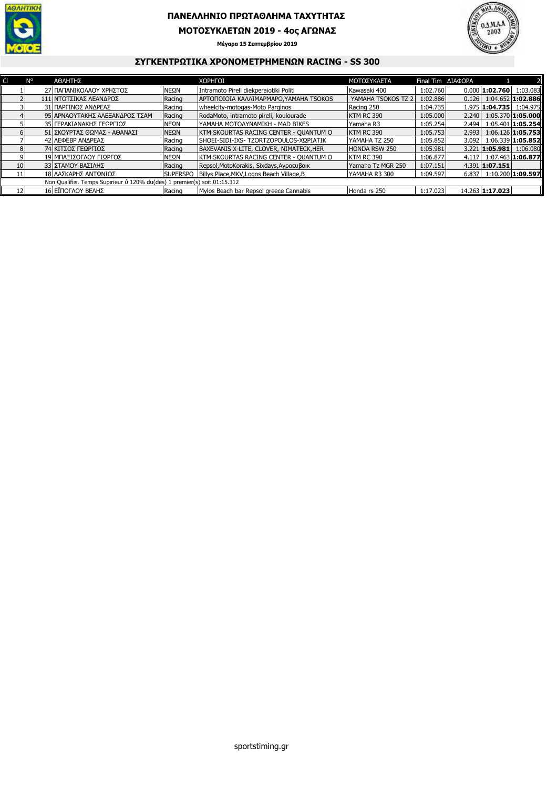

## **ΠΑΝΕΛΛΗΝΙΟ ΠΡΩΤΑΘΛΗΜΑ ΤΑΧΥΤΗΤΑΣ**

**ΜΟΤΟΣΥΚΛΕΤΩΝ 2019 - 4ος ΑΓΩΝΑΣ**

**Μέγαρα 15 Σεπτεµβρίου 2019**



## **ΣΥΓΚΕΝΤΡΩΤΙΚΑ ΧΡΟΝΟΜΕΤΡΗΜΕΝΩΝ RACING - SS 300**

|                                                                           | N٥ | ΑΘΛΗΤΗΣ                        |                  | <b>XOPHFOI</b>                            | ΜΟΤΟΣΥΚΛΕΤΑ        | Final Tim <b>AIA OPA</b> |       |                               |                     |
|---------------------------------------------------------------------------|----|--------------------------------|------------------|-------------------------------------------|--------------------|--------------------------|-------|-------------------------------|---------------------|
|                                                                           |    | 27 ΠΑΠΑΝΙΚΟΛΑΟΥ ΧΡΗΣΤΟΣ        | INEΩN            | Intramoto Pirell diekperaiotiki Politi    | Kawasaki 400       | 1:02.760                 |       | $0.0001$ :02.760              | 1:03.083            |
|                                                                           |    | 111 ΝΤΟΤΣΙΚΑΣ ΛΕΑΝΔΡΟΣ         | Racing           | APTONOJOJA KAMIMAPMAPO, YAMAHA TSOKOS     | YAMAHA TSOKOS TZ 2 | 1:02.886                 | 0.126 |                               | $1:04.652$ 1:02.886 |
|                                                                           |    | 31 ΠΑΡΓΙΝΟΣ ΑΝΔΡΕΑΣ            | Racing           | wheelcity-motogas-Moto Parginos           | Racing 250         | 1:04.735                 |       | 1.975   1:04.735   1:04.975   |                     |
|                                                                           |    | 95 ΑΡΝΑΟΥΤΑΚΗΣ ΑΛΕΞΑΝΔΡΟΣ ΤΣΑΜ | Racing           | RodaMoto, intramoto pireli, koulourade    | KTM RC 390         | 1:05.000                 | 2.240 | $1:05.370$ 1:05.000           |                     |
|                                                                           |    | 35 ΓΕΡΑΚΙΑΝΑΚΗΣ ΓΕΩΡΓΙΟΣ       | ΝΕΩΝ             | ΙΥΑΜΑΗΑ ΜΟΤΟΔΥΝΑΜΙΚΗ - MAD BIKES          | Yamaha R3          | 1:05.254                 | 2.494 |                               | $1:05.401$ 1:05.254 |
|                                                                           |    | 51 ΣΚΟΥΡΤΑΣ ΘΩΜΑΣ - ΑΘΑΝΑΣΙ    | NEQN             | KTM SKOURTAS RACING CENTER - QUANTUM O    | KTM RC 390         | 1:05.753                 | 2.993 |                               | $1:06.126$ 1:05.753 |
|                                                                           |    | 42 ΛΕΦΕΒΡ ΑΝΔΡΕΑΣ              | Racing           | SHOEI-SIDI-IXS- TZORTZOPOULOS-ΧΩΡΙΑΤΙΚ    | YAMAHA TZ 250      | 1:05.852                 | 3.092 | $1:06.339$ 1:05.852           |                     |
| 8                                                                         |    | 74 ΚΙΤΣΟΣ ΓΕΩΡΓΙΟΣ             | Racing           | BAXEVANIS X-LITE, CLOVER, NIMATECK, HER   | HONDA RSW 250      | 1:05.981                 |       | $3.221$ 1:05.981              | 1:06.080            |
| 9                                                                         |    | 19 ΜΠΑΞΙΣΟΓΛΟΥ ΓΙΩΡΓΟΣ         | ΝΕΩΝ             | KTM SKOURTAS RACING CENTER - QUANTUM O    | IKTM RC 390        | 1:06.877                 | 4.117 | 1:07.463 1:06.877             |                     |
| 10 <sup>1</sup>                                                           |    | 33 ΣΤΑΜΟΥ ΒΑΣΙΛΗΣ              | Racing           | Repsol, MotoKorakis, Sixdays, Αγροευβοικ  | Yamaha Tz MGR 250  | 1:07.151                 |       | 4.391 1:07.151                |                     |
| 11                                                                        |    | 18 ΛΑΣΚΑΡΗΣ ΑΝΤΩΝΙΟΣ           | <b>ISUPERSPO</b> | Billys Place, MKV, Logos Beach Village, B | YAMAHA R3 300      | 1:09.597                 |       | $6.837$   1:10.200   1:09.597 |                     |
| Non Qualifiis. Temps Supirieur ü 120% du(des) 1 premier(s) soit 01:15.312 |    |                                |                  |                                           |                    |                          |       |                               |                     |
| 12                                                                        |    | 16 ΕΪΠΟΓΛΟΥ ΒΕΛΗΣ              | Racing           | Mylos Beach bar Repsol greece Cannabis    | Honda rs 250       | 1:17.023                 |       | 14.263 1:17.023               |                     |